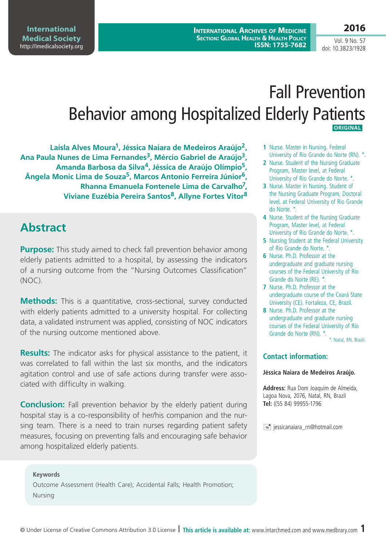**2016**

Vol. 9 No. 57 doi: 10.3823/1928

# Fall Prevention Behavior among Hospitalized Elderly Patients **Original**

**Laísla Alves Moura1, Jéssica Naiara de Medeiros Araújo2, Ana Paula Nunes de Lima Fernandes3, Mércio Gabriel de Araújo3, Amanda Barbosa da Silva4, Jéssica de Araújo Olímpio5, Ângela Monic Lima de Souza5, Marcos Antonio Ferreira Júnior6, Rhanna Emanuela Fontenele Lima de Carvalho7, Viviane Euzébia Pereira Santos8, Allyne Fortes Vitor8**

# **Abstract**

**Purpose:** This study aimed to check fall prevention behavior among elderly patients admitted to a hospital, by assessing the indicators of a nursing outcome from the "Nursing Outcomes Classification" (NOC).

**Methods:** This is a quantitative, cross-sectional, survey conducted with elderly patients admitted to a university hospital. For collecting data, a validated instrument was applied, consisting of NOC indicators of the nursing outcome mentioned above.

**Results:** The indicator asks for physical assistance to the patient, it was correlated to fall within the last six months, and the indicators agitation control and use of safe actions during transfer were associated with difficulty in walking.

**Conclusion:** Fall prevention behavior by the elderly patient during hospital stay is a co-responsibility of her/his companion and the nursing team. There is a need to train nurses regarding patient safety measures, focusing on preventing falls and encouraging safe behavior among hospitalized elderly patients.

**Keywords** Outcome Assessment (Health Care); Accidental Falls; Health Promotion; Nursing

- **1** Nurse. Master in Nursing. Federal University of Rio Grande do Norte (RN). \*.
- **2** Nurse. Student of the Nursing Graduate Program, Master level, at Federal University of Rio Grande do Norte. \*.
- **3** Nurse. Master in Nursing. Student of the Nursing Graduate Program, Doctoral level, at Federal University of Rio Grande do Norte. \*.
- **4** Nurse. Student of the Nursing Graduate Program, Master level, at Federal University of Rio Grande do Norte. \*.
- **5** Nursing Student at the Federal University of Rio Grande do Norte. \*.
- **6** Nurse. Ph.D. Professor at the undergraduate and graduate nursing courses of the Federal University of Rio Grande do Norte (RE). \*.
- **7** Nurse. Ph.D. Professor at the undergraduate course of the Ceará State University (CE). Fortaleza, CE, Brazil.
- **8** Nurse. Ph.D. Professor at the undergraduate and graduate nursing courses of the Federal University of Rio Grande do Norte (RN). \*. \*: Natal, RN, Brazil.

**Contact information:**

#### **Jéssica Naiara de Medeiros Araújo.**

**Address:** Rua Dom Joaquim de Almeida, Lagoa Nova, 2076, Natal, RN, Brazil **Tel:** ((55 84) 99955-1796

 $\equiv$  jessicanaiara rn@hotmail.com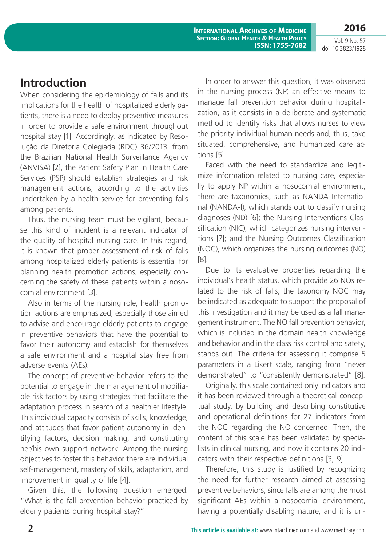Vol. 9 No. 57 doi: 10.3823/1928

**2016**

### **Introduction**

When considering the epidemiology of falls and its implications for the health of hospitalized elderly patients, there is a need to deploy preventive measures in order to provide a safe environment throughout hospital stay [1]. Accordingly, as indicated by Resolução da Diretoria Colegiada (RDC) 36/2013, from the Brazilian National Health Surveillance Agency (ANVISA) [2], the Patient Safety Plan in Health Care Services (PSP) should establish strategies and risk management actions, according to the activities undertaken by a health service for preventing falls among patients.

Thus, the nursing team must be vigilant, because this kind of incident is a relevant indicator of the quality of hospital nursing care. In this regard, it is known that proper assessment of risk of falls among hospitalized elderly patients is essential for planning health promotion actions, especially concerning the safety of these patients within a nosocomial environment [3].

Also in terms of the nursing role, health promotion actions are emphasized, especially those aimed to advise and encourage elderly patients to engage in preventive behaviors that have the potential to favor their autonomy and establish for themselves a safe environment and a hospital stay free from adverse events (AEs).

The concept of preventive behavior refers to the potential to engage in the management of modifiable risk factors by using strategies that facilitate the adaptation process in search of a healthier lifestyle. This individual capacity consists of skills, knowledge, and attitudes that favor patient autonomy in identifying factors, decision making, and constituting her/his own support network. Among the nursing objectives to foster this behavior there are individual self-management, mastery of skills, adaptation, and improvement in quality of life [4].

Given this, the following question emerged: "What is the fall prevention behavior practiced by elderly patients during hospital stay?"

In order to answer this question, it was observed in the nursing process (NP) an effective means to manage fall prevention behavior during hospitalization, as it consists in a deliberate and systematic method to identify risks that allows nurses to view the priority individual human needs and, thus, take situated, comprehensive, and humanized care actions [5].

Faced with the need to standardize and legitimize information related to nursing care, especially to apply NP within a nosocomial environment, there are taxonomies, such as NANDA International (NANDA-I), which stands out to classify nursing diagnoses (ND) [6]; the Nursing Interventions Classification (NIC), which categorizes nursing interventions [7]; and the Nursing Outcomes Classification (NOC), which organizes the nursing outcomes (NO) [8].

Due to its evaluative properties regarding the individual's health status, which provide 26 NOs related to the risk of falls, the taxonomy NOC may be indicated as adequate to support the proposal of this investigation and it may be used as a fall management instrument. The NO fall prevention behavior, which is included in the domain health knowledge and behavior and in the class risk control and safety, stands out. The criteria for assessing it comprise 5 parameters in a Likert scale, ranging from "never demonstrated" to "consistently demonstrated" [8].

Originally, this scale contained only indicators and it has been reviewed through a theoretical-conceptual study, by building and describing constitutive and operational definitions for 27 indicators from the NOC regarding the NO concerned. Then, the content of this scale has been validated by specialists in clinical nursing, and now it contains 20 indicators with their respective definitions [3, 9].

Therefore, this study is justified by recognizing the need for further research aimed at assessing preventive behaviors, since falls are among the most significant AEs within a nosocomial environment, having a potentially disabling nature, and it is un-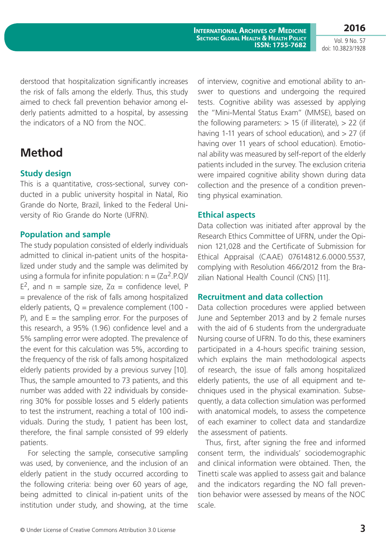**2016** Vol. 9 No. 57

doi: 10.3823/1928

derstood that hospitalization significantly increases the risk of falls among the elderly. Thus, this study aimed to check fall prevention behavior among elderly patients admitted to a hospital, by assessing the indicators of a NO from the NOC.

### **Method**

### **Study design**

This is a quantitative, cross-sectional, survey conducted in a public university hospital in Natal, Rio Grande do Norte, Brazil, linked to the Federal University of Rio Grande do Norte (UFRN).

### **Population and sample**

The study population consisted of elderly individuals admitted to clinical in-patient units of the hospitalized under study and the sample was delimited by using a formula for infinite population:  $n = (Z\alpha^2.P.Q)$ / E<sup>2</sup>, and n = sample size, Zα = confidence level, P = prevalence of the risk of falls among hospitalized elderly patients,  $Q =$  prevalence complement (100 -P), and  $E =$  the sampling error. For the purposes of this research, a 95% (1.96) confidence level and a 5% sampling error were adopted. The prevalence of the event for this calculation was 5%, according to the frequency of the risk of falls among hospitalized elderly patients provided by a previous survey [10]. Thus, the sample amounted to 73 patients, and this number was added with 22 individuals by considering 30% for possible losses and 5 elderly patients to test the instrument, reaching a total of 100 individuals. During the study, 1 patient has been lost, therefore, the final sample consisted of 99 elderly patients.

For selecting the sample, consecutive sampling was used, by convenience, and the inclusion of an elderly patient in the study occurred according to the following criteria: being over 60 years of age, being admitted to clinical in-patient units of the institution under study, and showing, at the time of interview, cognitive and emotional ability to answer to questions and undergoing the required tests. Cognitive ability was assessed by applying the "Mini-Mental Status Exam" (MMSE), based on the following parameters:  $> 15$  (if illiterate),  $> 22$  (if having 1-11 years of school education), and  $> 27$  (if having over 11 years of school education). Emotional ability was measured by self-report of the elderly patients included in the survey. The exclusion criteria were impaired cognitive ability shown during data collection and the presence of a condition preventing physical examination.

### **Ethical aspects**

Data collection was initiated after approval by the Research Ethics Committee of UFRN, under the Opinion 121,028 and the Certificate of Submission for Ethical Appraisal (CAAE) 07614812.6.0000.5537, complying with Resolution 466/2012 from the Brazilian National Health Council (CNS) [11].

#### **Recruitment and data collection**

Data collection procedures were applied between June and September 2013 and by 2 female nurses with the aid of 6 students from the undergraduate Nursing course of UFRN. To do this, these examiners participated in a 4-hours specific training session, which explains the main methodological aspects of research, the issue of falls among hospitalized elderly patients, the use of all equipment and techniques used in the physical examination. Subsequently, a data collection simulation was performed with anatomical models, to assess the competence of each examiner to collect data and standardize the assessment of patients.

Thus, first, after signing the free and informed consent term, the individuals' sociodemographic and clinical information were obtained. Then, the Tinetti scale was applied to assess gait and balance and the indicators regarding the NO fall prevention behavior were assessed by means of the NOC scale.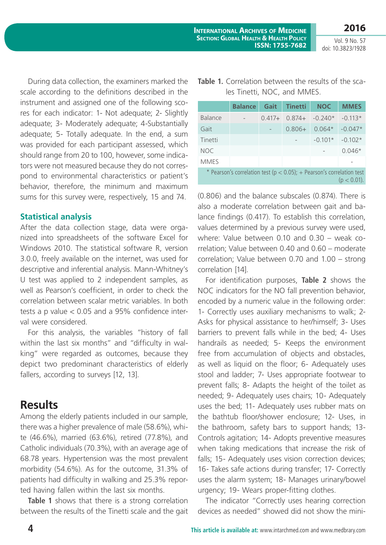**2016**

Vol. 9 No. 57 doi: 10.3823/1928

During data collection, the examiners marked the scale according to the definitions described in the instrument and assigned one of the following scores for each indicator: 1- Not adequate; 2- Slightly adequate; 3- Moderately adequate; 4-Substantially adequate; 5- Totally adequate. In the end, a sum was provided for each participant assessed, which should range from 20 to 100, however, some indicators were not measured because they do not correspond to environmental characteristics or patient's behavior, therefore, the minimum and maximum sums for this survey were, respectively, 15 and 74.

#### **Statistical analysis**

After the data collection stage, data were organized into spreadsheets of the software Excel for Windows 2010. The statistical software R, version 3.0.0, freely available on the internet, was used for descriptive and inferential analysis. Mann-Whitney's U test was applied to 2 independent samples, as well as Pearson's coefficient, in order to check the correlation between scalar metric variables. In both tests a p value < 0.05 and a 95% confidence interval were considered.

For this analysis, the variables "history of fall within the last six months" and "difficulty in walking" were regarded as outcomes, because they depict two predominant characteristics of elderly fallers, according to surveys [12, 13].

## **Results**

Among the elderly patients included in our sample, there was a higher prevalence of male (58.6%), white (46.6%), married (63.6%), retired (77.8%), and Catholic individuals (70.3%), with an average age of 68.78 years. Hypertension was the most prevalent morbidity (54.6%). As for the outcome, 31.3% of patients had difficulty in walking and 25.3% reported having fallen within the last six months.

**Table 1** shows that there is a strong correlation between the results of the Tinetti scale and the gait

|                                                                                             | <b>Balance</b> | Gait     | <b>Tinetti</b> | <b>NOC</b> | <b>MMES</b> |  |  |  |  |
|---------------------------------------------------------------------------------------------|----------------|----------|----------------|------------|-------------|--|--|--|--|
| Balance                                                                                     |                | $0.417+$ | $0.874+$       | $-0.240*$  | $-0.113*$   |  |  |  |  |
| Gait                                                                                        |                |          | $0.806+$       | $0.064*$   | $-0.047*$   |  |  |  |  |
| Tinetti                                                                                     |                |          |                | $-0.101*$  | $-0.102*$   |  |  |  |  |
| <b>NOC</b>                                                                                  |                |          |                |            | $0.046*$    |  |  |  |  |
| <b>MMES</b>                                                                                 |                |          |                |            |             |  |  |  |  |
| * Pearson's correlation test ( $p < 0.05$ ); + Pearson's correlation test<br>$(p < 0.01)$ . |                |          |                |            |             |  |  |  |  |

|  | Table 1. Correlation between the results of the sca- |
|--|------------------------------------------------------|
|  | les Tinetti, NOC, and MMES.                          |

(0.806) and the balance subscales (0.874). There is also a moderate correlation between gait and balance findings (0.417). To establish this correlation, values determined by a previous survey were used, where: Value between 0.10 and 0.30 – weak correlation; Value between 0.40 and 0.60 – moderate correlation; Value between 0.70 and 1.00 – strong correlation [14].

For identification purposes, **Table 2** shows the NOC indicators for the NO fall prevention behavior, encoded by a numeric value in the following order: 1- Correctly uses auxiliary mechanisms to walk; 2- Asks for physical assistance to her/himself; 3- Uses barriers to prevent falls while in the bed; 4- Uses handrails as needed; 5- Keeps the environment free from accumulation of objects and obstacles, as well as liquid on the floor; 6- Adequately uses stool and ladder; 7- Uses appropriate footwear to prevent falls; 8- Adapts the height of the toilet as needed; 9- Adequately uses chairs; 10- Adequately uses the bed; 11- Adequately uses rubber mats on the bathtub floor/shower enclosure; 12- Uses, in the bathroom, safety bars to support hands; 13- Controls agitation; 14- Adopts preventive measures when taking medications that increase the risk of falls; 15- Adequately uses vision correction devices; 16- Takes safe actions during transfer; 17- Correctly uses the alarm system; 18- Manages urinary/bowel urgency; 19- Wears proper-fitting clothes.

The indicator "Correctly uses hearing correction devices as needed" showed did not show the mini-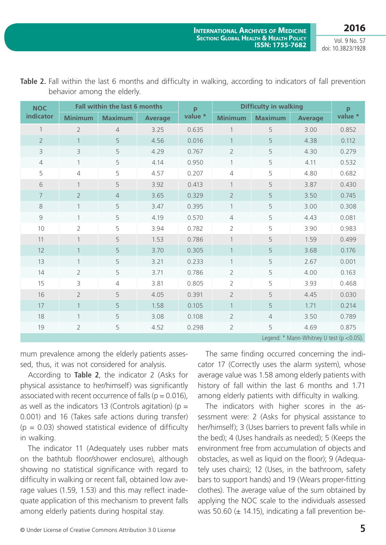Vol. 9 No. 57 doi: 10.3823/1928

| <b>NOC</b>                                      |                                                    | <b>Fall within the last 6 months</b> |         | p              | <b>Difficulty in walking</b> | p              |         |       |  |  |
|-------------------------------------------------|----------------------------------------------------|--------------------------------------|---------|----------------|------------------------------|----------------|---------|-------|--|--|
| indicator                                       | <b>Minimum</b><br><b>Maximum</b><br><b>Average</b> |                                      | value * | <b>Minimum</b> | <b>Maximum</b>               | <b>Average</b> | value * |       |  |  |
| $\mathbf{1}$                                    | $\overline{2}$                                     | $\overline{4}$                       | 3.25    | 0.635          |                              | 5              | 3.00    | 0.852 |  |  |
| $\overline{2}$                                  | $\mathbf{1}$                                       | 5                                    | 4.56    | 0.016          | $\mathbf{1}$                 | 5              | 4.38    | 0.112 |  |  |
| $\mathcal{E}$                                   | 3                                                  | 5                                    | 4.29    | 0.767          | $\overline{2}$               | 5              | 4.30    | 0.279 |  |  |
| $\overline{4}$                                  | 1                                                  | 5                                    | 4.14    | 0.950          | $\mathbf{1}$                 | 5              | 4.11    | 0.532 |  |  |
| 5                                               | 4                                                  | 5                                    | 4.57    | 0.207          | $\overline{4}$               | 5              | 4.80    | 0.682 |  |  |
| 6                                               |                                                    | 5                                    | 3.92    | 0.413          | $\mathbf{1}$                 | 5              | 3.87    | 0.430 |  |  |
| $\overline{7}$                                  | $\overline{2}$                                     | $\overline{4}$                       | 3.65    | 0.329          | $\overline{2}$               | 5              | 3.50    | 0.745 |  |  |
| 8                                               | $\mathbf{1}$                                       | 5                                    | 3.47    | 0.395          | $\mathbf{1}$                 | 5              | 3.00    | 0.308 |  |  |
| 9                                               | 1                                                  | 5                                    | 4.19    | 0.570          | $\overline{4}$               | 5              | 4.43    | 0.081 |  |  |
| 10                                              | $\overline{2}$                                     | 5                                    | 3.94    | 0.782          | $\overline{2}$               | 5              | 3.90    | 0.983 |  |  |
| 11                                              | $\mathbf 1$                                        | 5                                    | 1.53    | 0.786          | $\mathbf{1}$                 | 5              | 1.59    | 0.499 |  |  |
| 12                                              | $\mathbf{1}$                                       | 5                                    | 3.70    | 0.305          | $\mathbf{1}$                 | 5              | 3.68    | 0.176 |  |  |
| 13                                              | $\mathbf{1}$                                       | 5                                    | 3.21    | 0.233          | $\mathbf{1}$                 | 5              | 2.67    | 0.001 |  |  |
| 14                                              | $\overline{2}$                                     | 5                                    | 3.71    | 0.786          | $\overline{2}$               | 5              | 4.00    | 0.163 |  |  |
| 15                                              | 3                                                  | $\overline{4}$                       | 3.81    | 0.805          | $\overline{2}$               | 5              | 3.93    | 0.468 |  |  |
| 16                                              | $\overline{2}$                                     | 5                                    | 4.05    | 0.391          | $\overline{2}$               | 5              | 4.45    | 0.030 |  |  |
| 17                                              | $\mathbf{1}$                                       | 5                                    | 1.58    | 0.105          | $\mathbf{1}$                 | 5              | 1.71    | 0.214 |  |  |
| 18                                              | $\mathbf{1}$                                       | 5                                    | 3.08    | 0.108          | $\overline{2}$               | $\overline{4}$ | 3.50    | 0.789 |  |  |
| 19                                              | $\overline{2}$                                     | 5                                    | 4.52    | 0.298          | $\overline{2}$               | 5              | 4.69    | 0.875 |  |  |
| Legend: $*$ Mann-Whitney U test ( $p < 0.05$ ). |                                                    |                                      |         |                |                              |                |         |       |  |  |

|                             |  |  |  |  |  | Table 2. Fall within the last 6 months and difficulty in walking, according to indicators of fall prevention |
|-----------------------------|--|--|--|--|--|--------------------------------------------------------------------------------------------------------------|
| behavior among the elderly. |  |  |  |  |  |                                                                                                              |

mum prevalence among the elderly patients assessed, thus, it was not considered for analysis.

According to **Table 2**, the indicator 2 (Asks for physical assistance to her/himself) was significantly associated with recent occurrence of falls ( $p = 0.016$ ), as well as the indicators 13 (Controls agitation) ( $p =$ 0.001) and 16 (Takes safe actions during transfer)  $(p = 0.03)$  showed statistical evidence of difficulty in walking.

The indicator 11 (Adequately uses rubber mats on the bathtub floor/shower enclosure), although showing no statistical significance with regard to difficulty in walking or recent fall, obtained low average values (1.59, 1.53) and this may reflect inadequate application of this mechanism to prevent falls among elderly patients during hospital stay.

The same finding occurred concerning the indicator 17 (Correctly uses the alarm system), whose average value was 1.58 among elderly patients with history of fall within the last 6 months and 1.71 among elderly patients with difficulty in walking.

The indicators with higher scores in the assessment were: 2 (Asks for physical assistance to her/himself); 3 (Uses barriers to prevent falls while in the bed); 4 (Uses handrails as needed); 5 (Keeps the environment free from accumulation of objects and obstacles, as well as liquid on the floor); 9 (Adequately uses chairs); 12 (Uses, in the bathroom, safety bars to support hands) and 19 (Wears proper-fitting clothes). The average value of the sum obtained by applying the NOC scale to the individuals assessed was 50.60 ( $\pm$  14.15), indicating a fall prevention be-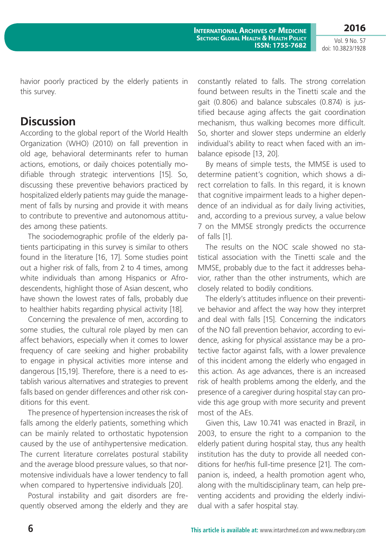**2016**

**International Archives of Medicine Section: Global Health & Health Policy ISSN: 1755-7682**

Vol. 9 No. 57 doi: 10.3823/1928

havior poorly practiced by the elderly patients in this survey.

### **Discussion**

According to the global report of the World Health Organization (WHO) (2010) on fall prevention in old age, behavioral determinants refer to human actions, emotions, or daily choices potentially modifiable through strategic interventions [15]. So, discussing these preventive behaviors practiced by hospitalized elderly patients may guide the management of falls by nursing and provide it with means to contribute to preventive and autonomous attitudes among these patients.

The sociodemographic profile of the elderly patients participating in this survey is similar to others found in the literature [16, 17]. Some studies point out a higher risk of falls, from 2 to 4 times, among white individuals than among Hispanics or Afrodescendents, highlight those of Asian descent, who have shown the lowest rates of falls, probably due to healthier habits regarding physical activity [18].

Concerning the prevalence of men, according to some studies, the cultural role played by men can affect behaviors, especially when it comes to lower frequency of care seeking and higher probability to engage in physical activities more intense and dangerous [15,19]. Therefore, there is a need to establish various alternatives and strategies to prevent falls based on gender differences and other risk conditions for this event.

The presence of hypertension increases the risk of falls among the elderly patients, something which can be mainly related to orthostatic hypotension caused by the use of antihypertensive medication. The current literature correlates postural stability and the average blood pressure values, so that normotensive individuals have a lower tendency to fall when compared to hypertensive individuals [20].

Postural instability and gait disorders are frequently observed among the elderly and they are constantly related to falls. The strong correlation found between results in the Tinetti scale and the gait (0.806) and balance subscales (0.874) is justified because aging affects the gait coordination mechanism, thus walking becomes more difficult. So, shorter and slower steps undermine an elderly individual's ability to react when faced with an imbalance episode [13, 20].

By means of simple tests, the MMSE is used to determine patient's cognition, which shows a direct correlation to falls. In this regard, it is known that cognitive impairment leads to a higher dependence of an individual as for daily living activities, and, according to a previous survey, a value below 7 on the MMSE strongly predicts the occurrence of falls [1].

The results on the NOC scale showed no statistical association with the Tinetti scale and the MMSE, probably due to the fact it addresses behavior, rather than the other instruments, which are closely related to bodily conditions.

The elderly's attitudes influence on their preventive behavior and affect the way how they interpret and deal with falls [15]. Concerning the indicators of the NO fall prevention behavior, according to evidence, asking for physical assistance may be a protective factor against falls, with a lower prevalence of this incident among the elderly who engaged in this action. As age advances, there is an increased risk of health problems among the elderly, and the presence of a caregiver during hospital stay can provide this age group with more security and prevent most of the AEs.

Given this, Law 10.741 was enacted in Brazil, in 2003, to ensure the right to a companion to the elderly patient during hospital stay, thus any health institution has the duty to provide all needed conditions for her/his full-time presence [21]. The companion is, indeed, a health promotion agent who, along with the multidisciplinary team, can help preventing accidents and providing the elderly individual with a safer hospital stay.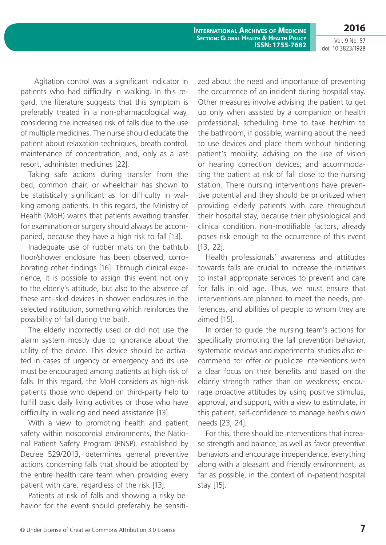Vol. 9 No. 57 doi: 10.3823/1928

**2016**

 Agitation control was a significant indicator in patients who had difficulty in walking. In this regard, the literature suggests that this symptom is preferably treated in a non-pharmacological way, considering the increased risk of falls due to the use of multiple medicines. The nurse should educate the patient about relaxation techniques, breath control, maintenance of concentration, and, only as a last resort, administer medicines [22].

Taking safe actions during transfer from the bed, common chair, or wheelchair has shown to be statistically significant as for difficulty in walking among patients. In this regard, the Ministry of Health (MoH) warns that patients awaiting transfer for examination or surgery should always be accompanied, because they have a high risk to fall [13].

Inadequate use of rubber mats on the bathtub floor/shower enclosure has been observed, corroborating other findings [16]. Through clinical experience, it is possible to assign this event not only to the elderly's attitude, but also to the absence of these anti-skid devices in shower enclosures in the selected institution, something which reinforces the possibility of fall during the bath.

The elderly incorrectly used or did not use the alarm system mostly due to ignorance about the utility of the device. This device should be activated in cases of urgency or emergency and its use must be encouraged among patients at high risk of falls. In this regard, the MoH considers as high-risk patients those who depend on third-party help to fulfill basic daily living activities or those who have difficulty in walking and need assistance [13].

With a view to promoting health and patient safety within nosocomial environments, the National Patient Safety Program (PNSP), established by Decree 529/2013, determines general preventive actions concerning falls that should be adopted by the entire health care team when providing every patient with care, regardless of the risk [13].

Patients at risk of falls and showing a risky behavior for the event should preferably be sensitized about the need and importance of preventing the occurrence of an incident during hospital stay. Other measures involve advising the patient to get up only when assisted by a companion or health professional, scheduling time to take her/him to the bathroom, if possible; warning about the need to use devices and place them without hindering patient's mobility; advising on the use of vision or hearing correction devices; and accommodating the patient at risk of fall close to the nursing station. There nursing interventions have preventive potential and they should be prioritized when providing elderly patients with care throughout their hospital stay, because their physiological and clinical condition, non-modifiable factors, already poses risk enough to the occurrence of this event [13, 22].

Health professionals' awareness and attitudes towards falls are crucial to increase the initiatives to install appropriate services to prevent and care for falls in old age. Thus, we must ensure that interventions are planned to meet the needs, preferences, and abilities of people to whom they are aimed [15].

In order to guide the nursing team's actions for specifically promoting the fall prevention behavior, systematic reviews and experimental studies also recommend to: offer or publicize interventions with a clear focus on their benefits and based on the elderly strength rather than on weakness; encourage proactive attitudes by using positive stimulus, approval, and support, with a view to estimulate, in this patient, self-confidence to manage her/his own needs [23, 24].

For this, there should be interventions that increase strength and balance, as well as favor preventive behaviors and encourage independence, everything along with a pleasant and friendly environment, as far as possible, in the context of in-patient hospital stay [15].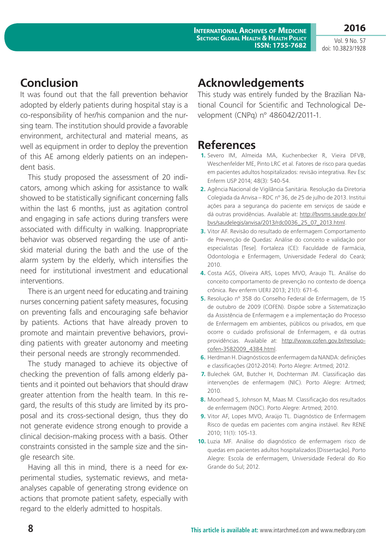Vol. 9 No. 57 doi: 10.3823/1928

**2016**

### **Conclusion**

It was found out that the fall prevention behavior adopted by elderly patients during hospital stay is a co-responsibility of her/his companion and the nursing team. The institution should provide a favorable environment, architectural and material means, as well as equipment in order to deploy the prevention of this AE among elderly patients on an independent basis.

This study proposed the assessment of 20 indicators, among which asking for assistance to walk showed to be statistically significant concerning falls within the last 6 months, just as agitation control and engaging in safe actions during transfers were associated with difficulty in walking. Inappropriate behavior was observed regarding the use of antiskid material during the bath and the use of the alarm system by the elderly, which intensifies the need for institutional investment and educational interventions.

There is an urgent need for educating and training nurses concerning patient safety measures, focusing on preventing falls and encouraging safe behavior by patients. Actions that have already proven to promote and maintain preventive behaviors, providing patients with greater autonomy and meeting their personal needs are strongly recommended.

The study managed to achieve its objective of checking the prevention of falls among elderly patients and it pointed out behaviors that should draw greater attention from the health team. In this regard, the results of this study are limited by its proposal and its cross-sectional design, thus they do not generate evidence strong enough to provide a clinical decision-making process with a basis. Other constraints consisted in the sample size and the single research site.

Having all this in mind, there is a need for experimental studies, systematic reviews, and metaanalyses capable of generating strong evidence on actions that promote patient safety, especially with regard to the elderly admitted to hospitals.

### **Acknowledgements**

This study was entirely funded by the Brazilian National Council for Scientific and Technological Development (CNPq) n° 486042/2011-1.

## **References**

- **1.** Severo IM, Almeida MA, Kuchenbecker R, Vieira DFVB, Weschenfelder ME, Pinto LRC et al. Fatores de risco para quedas em pacientes adultos hospitalizados: revisão integrativa. Rev Esc Enferm USP 2014; 48(3): 540-54.
- **2.** Agência Nacional de Vigilância Sanitária. Resolução da Diretoria Colegiada da Anvisa – RDC nº 36, de 25 de julho de 2013. Institui ações para a segurança do paciente em serviços de saúde e dá outras providências. Available at: [http://bvsms.saude.gov.br/](http://bvsms.saude.gov.br/bvs/saudelegis/anvisa/2013/rdc0036_25_07_2013.html) [bvs/saudelegis/anvisa/2013/rdc0036\\_25\\_07\\_2013.html](http://bvsms.saude.gov.br/bvs/saudelegis/anvisa/2013/rdc0036_25_07_2013.html).
- **3.** Vitor AF. Revisão do resultado de enfermagem Comportamento de Prevenção de Quedas: Análise do conceito e validação por especialistas [Tese]. Fortaleza (CE): Faculdade de Farmácia, Odontologia e Enfermagem, Universidade Federal do Ceará; 2010.
- **4.** Costa AGS, Oliveira ARS, Lopes MVO, Araujo TL. Análise do conceito comportamento de prevenção no contexto de doença crônica. Rev enferm UERJ 2013; 21(1): 671-6.
- **5.** Resolução nº 358 do Conselho Federal de Enfermagem, de 15 de outubro de 2009 (COFEN). Dispõe sobre a Sistematização da Assistência de Enfermagem e a implementação do Processo de Enfermagem em ambientes, públicos ou privados, em que ocorre o cuidado profissional de Enfermagem, e dá outras providências. Available at: [http://www.cofen.gov.br/resoluo](http://www.cofen.gov.br/resoluo-cofen-3582009_4384.html)[cofen-3582009\\_4384.html.](http://www.cofen.gov.br/resoluo-cofen-3582009_4384.html)
- **6.** Herdman H. Diagnósticos de enfermagem da NANDA: definições e classificações (2012-2014). Porto Alegre: Artmed; 2012.
- **7.** Bulechek GM, Butcher H, Dochterman JM. Classificação das intervenções de enfermagem (NIC). Porto Alegre: Artmed; 2010.
- **8.** Moorhead S, Johnson M, Maas M. Classificação dos resultados de enfermagem (NOC). Porto Alegre: Artmed; 2010.
- **9.** Vitor AF, Lopes MVO, Araújo TL. Diagnóstico de Enfermagem Risco de quedas em pacientes com angina instável. Rev RENE 2010; 11(1): 105-13.
- **10.** Luzia MF. Análise do diagnóstico de enfermagem risco de quedas em pacientes adultos hospitalizados [Dissertação]. Porto Alegre: Escola de enfermagem, Universidade Federal do Rio Grande do Sul; 2012.